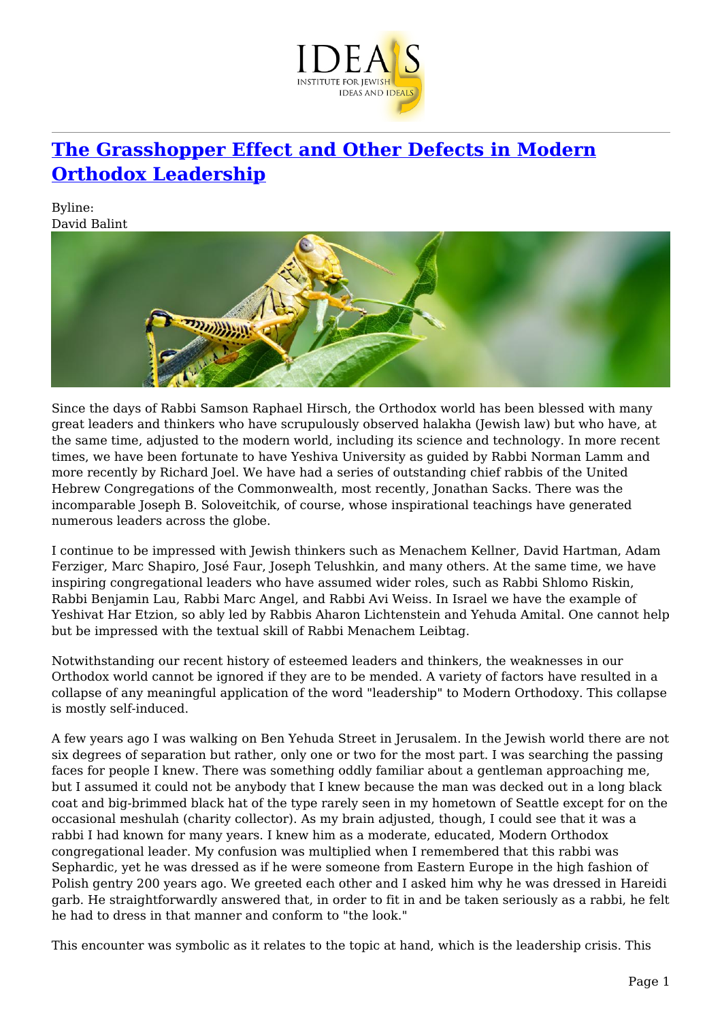

## **[The Grasshopper Effect and Other Defects in Modern](https://www.jewishideas.org/article/grasshopper-effect-and-other-defects-modern-orthodox-leadership) [Orthodox Leadership](https://www.jewishideas.org/article/grasshopper-effect-and-other-defects-modern-orthodox-leadership)**

Byline: David Balint



Since the days of Rabbi Samson Raphael Hirsch, the Orthodox world has been blessed with many great leaders and thinkers who have scrupulously observed halakha (Jewish law) but who have, at the same time, adjusted to the modern world, including its science and technology. In more recent times, we have been fortunate to have Yeshiva University as guided by Rabbi Norman Lamm and more recently by Richard Joel. We have had a series of outstanding chief rabbis of the United Hebrew Congregations of the Commonwealth, most recently, Jonathan Sacks. There was the incomparable Joseph B. Soloveitchik, of course, whose inspirational teachings have generated numerous leaders across the globe.

I continue to be impressed with Jewish thinkers such as Menachem Kellner, David Hartman, Adam Ferziger, Marc Shapiro, José Faur, Joseph Telushkin, and many others. At the same time, we have inspiring congregational leaders who have assumed wider roles, such as Rabbi Shlomo Riskin, Rabbi Benjamin Lau, Rabbi Marc Angel, and Rabbi Avi Weiss. In Israel we have the example of Yeshivat Har Etzion, so ably led by Rabbis Aharon Lichtenstein and Yehuda Amital. One cannot help but be impressed with the textual skill of Rabbi Menachem Leibtag.

Notwithstanding our recent history of esteemed leaders and thinkers, the weaknesses in our Orthodox world cannot be ignored if they are to be mended. A variety of factors have resulted in a collapse of any meaningful application of the word "leadership" to Modern Orthodoxy. This collapse is mostly self-induced.

A few years ago I was walking on Ben Yehuda Street in Jerusalem. In the Jewish world there are not six degrees of separation but rather, only one or two for the most part. I was searching the passing faces for people I knew. There was something oddly familiar about a gentleman approaching me, but I assumed it could not be anybody that I knew because the man was decked out in a long black coat and big-brimmed black hat of the type rarely seen in my hometown of Seattle except for on the occasional meshulah (charity collector). As my brain adjusted, though, I could see that it was a rabbi I had known for many years. I knew him as a moderate, educated, Modern Orthodox congregational leader. My confusion was multiplied when I remembered that this rabbi was Sephardic, yet he was dressed as if he were someone from Eastern Europe in the high fashion of Polish gentry 200 years ago. We greeted each other and I asked him why he was dressed in Hareidi garb. He straightforwardly answered that, in order to fit in and be taken seriously as a rabbi, he felt he had to dress in that manner and conform to "the look."

This encounter was symbolic as it relates to the topic at hand, which is the leadership crisis. This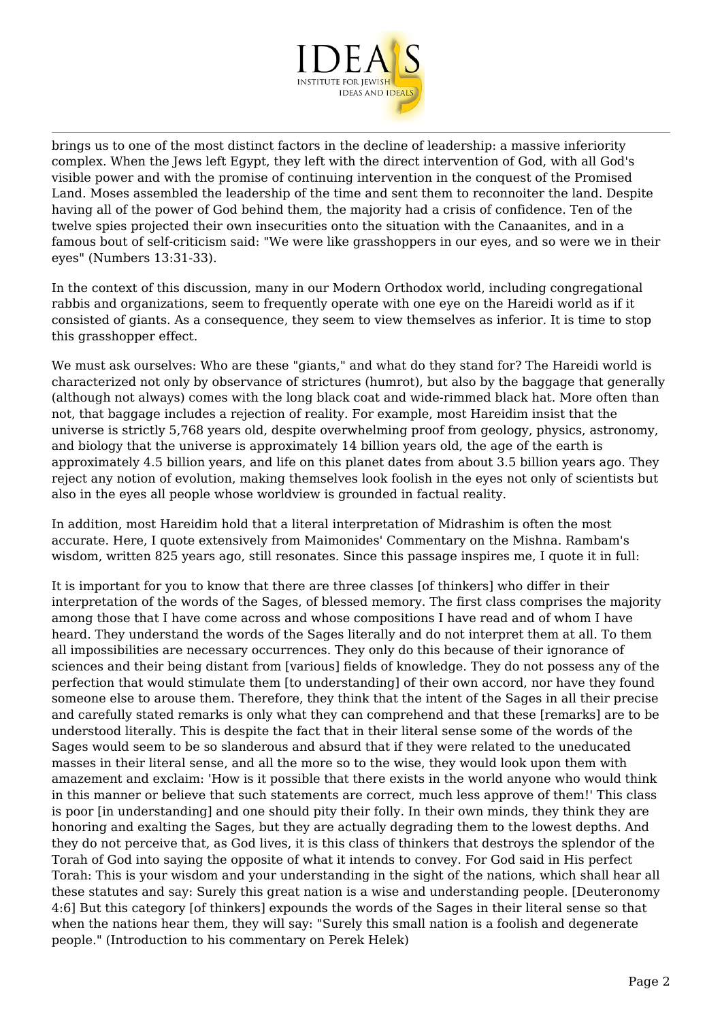

brings us to one of the most distinct factors in the decline of leadership: a massive inferiority complex. When the Jews left Egypt, they left with the direct intervention of God, with all God's visible power and with the promise of continuing intervention in the conquest of the Promised Land. Moses assembled the leadership of the time and sent them to reconnoiter the land. Despite having all of the power of God behind them, the majority had a crisis of confidence. Ten of the twelve spies projected their own insecurities onto the situation with the Canaanites, and in a famous bout of self-criticism said: "We were like grasshoppers in our eyes, and so were we in their eyes" (Numbers 13:31-33).

In the context of this discussion, many in our Modern Orthodox world, including congregational rabbis and organizations, seem to frequently operate with one eye on the Hareidi world as if it consisted of giants. As a consequence, they seem to view themselves as inferior. It is time to stop this grasshopper effect.

We must ask ourselves: Who are these "giants," and what do they stand for? The Hareidi world is characterized not only by observance of strictures (humrot), but also by the baggage that generally (although not always) comes with the long black coat and wide-rimmed black hat. More often than not, that baggage includes a rejection of reality. For example, most Hareidim insist that the universe is strictly 5,768 years old, despite overwhelming proof from geology, physics, astronomy, and biology that the universe is approximately 14 billion years old, the age of the earth is approximately 4.5 billion years, and life on this planet dates from about 3.5 billion years ago. They reject any notion of evolution, making themselves look foolish in the eyes not only of scientists but also in the eyes all people whose worldview is grounded in factual reality.

In addition, most Hareidim hold that a literal interpretation of Midrashim is often the most accurate. Here, I quote extensively from Maimonides' Commentary on the Mishna. Rambam's wisdom, written 825 years ago, still resonates. Since this passage inspires me, I quote it in full:

It is important for you to know that there are three classes [of thinkers] who differ in their interpretation of the words of the Sages, of blessed memory. The first class comprises the majority among those that I have come across and whose compositions I have read and of whom I have heard. They understand the words of the Sages literally and do not interpret them at all. To them all impossibilities are necessary occurrences. They only do this because of their ignorance of sciences and their being distant from [various] fields of knowledge. They do not possess any of the perfection that would stimulate them [to understanding] of their own accord, nor have they found someone else to arouse them. Therefore, they think that the intent of the Sages in all their precise and carefully stated remarks is only what they can comprehend and that these [remarks] are to be understood literally. This is despite the fact that in their literal sense some of the words of the Sages would seem to be so slanderous and absurd that if they were related to the uneducated masses in their literal sense, and all the more so to the wise, they would look upon them with amazement and exclaim: 'How is it possible that there exists in the world anyone who would think in this manner or believe that such statements are correct, much less approve of them!' This class is poor [in understanding] and one should pity their folly. In their own minds, they think they are honoring and exalting the Sages, but they are actually degrading them to the lowest depths. And they do not perceive that, as God lives, it is this class of thinkers that destroys the splendor of the Torah of God into saying the opposite of what it intends to convey. For God said in His perfect Torah: This is your wisdom and your understanding in the sight of the nations, which shall hear all these statutes and say: Surely this great nation is a wise and understanding people. [Deuteronomy 4:6] But this category [of thinkers] expounds the words of the Sages in their literal sense so that when the nations hear them, they will say: "Surely this small nation is a foolish and degenerate people." (Introduction to his commentary on Perek Helek)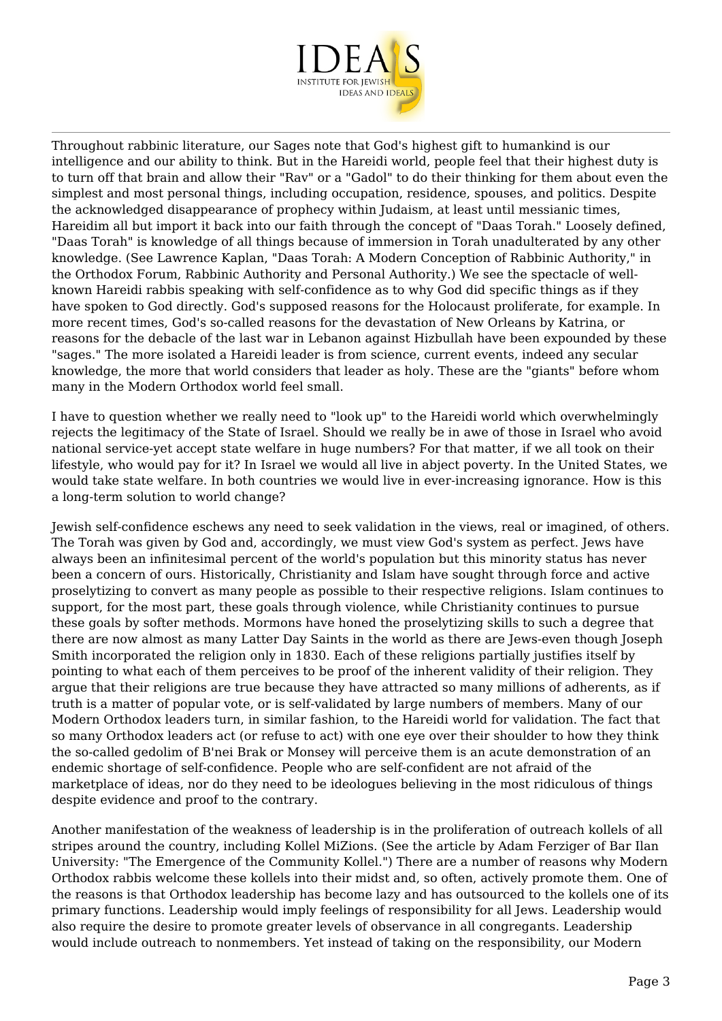

Throughout rabbinic literature, our Sages note that God's highest gift to humankind is our intelligence and our ability to think. But in the Hareidi world, people feel that their highest duty is to turn off that brain and allow their "Rav" or a "Gadol" to do their thinking for them about even the simplest and most personal things, including occupation, residence, spouses, and politics. Despite the acknowledged disappearance of prophecy within Judaism, at least until messianic times, Hareidim all but import it back into our faith through the concept of "Daas Torah." Loosely defined, "Daas Torah" is knowledge of all things because of immersion in Torah unadulterated by any other knowledge. (See Lawrence Kaplan, "Daas Torah: A Modern Conception of Rabbinic Authority," in the Orthodox Forum, Rabbinic Authority and Personal Authority.) We see the spectacle of wellknown Hareidi rabbis speaking with self-confidence as to why God did specific things as if they have spoken to God directly. God's supposed reasons for the Holocaust proliferate, for example. In more recent times, God's so-called reasons for the devastation of New Orleans by Katrina, or reasons for the debacle of the last war in Lebanon against Hizbullah have been expounded by these "sages." The more isolated a Hareidi leader is from science, current events, indeed any secular knowledge, the more that world considers that leader as holy. These are the "giants" before whom many in the Modern Orthodox world feel small.

I have to question whether we really need to "look up" to the Hareidi world which overwhelmingly rejects the legitimacy of the State of Israel. Should we really be in awe of those in Israel who avoid national service-yet accept state welfare in huge numbers? For that matter, if we all took on their lifestyle, who would pay for it? In Israel we would all live in abject poverty. In the United States, we would take state welfare. In both countries we would live in ever-increasing ignorance. How is this a long-term solution to world change?

Jewish self-confidence eschews any need to seek validation in the views, real or imagined, of others. The Torah was given by God and, accordingly, we must view God's system as perfect. Jews have always been an infinitesimal percent of the world's population but this minority status has never been a concern of ours. Historically, Christianity and Islam have sought through force and active proselytizing to convert as many people as possible to their respective religions. Islam continues to support, for the most part, these goals through violence, while Christianity continues to pursue these goals by softer methods. Mormons have honed the proselytizing skills to such a degree that there are now almost as many Latter Day Saints in the world as there are Jews-even though Joseph Smith incorporated the religion only in 1830. Each of these religions partially justifies itself by pointing to what each of them perceives to be proof of the inherent validity of their religion. They argue that their religions are true because they have attracted so many millions of adherents, as if truth is a matter of popular vote, or is self-validated by large numbers of members. Many of our Modern Orthodox leaders turn, in similar fashion, to the Hareidi world for validation. The fact that so many Orthodox leaders act (or refuse to act) with one eye over their shoulder to how they think the so-called gedolim of B'nei Brak or Monsey will perceive them is an acute demonstration of an endemic shortage of self-confidence. People who are self-confident are not afraid of the marketplace of ideas, nor do they need to be ideologues believing in the most ridiculous of things despite evidence and proof to the contrary.

Another manifestation of the weakness of leadership is in the proliferation of outreach kollels of all stripes around the country, including Kollel MiZions. (See the article by Adam Ferziger of Bar Ilan University: "The Emergence of the Community Kollel.") There are a number of reasons why Modern Orthodox rabbis welcome these kollels into their midst and, so often, actively promote them. One of the reasons is that Orthodox leadership has become lazy and has outsourced to the kollels one of its primary functions. Leadership would imply feelings of responsibility for all Jews. Leadership would also require the desire to promote greater levels of observance in all congregants. Leadership would include outreach to nonmembers. Yet instead of taking on the responsibility, our Modern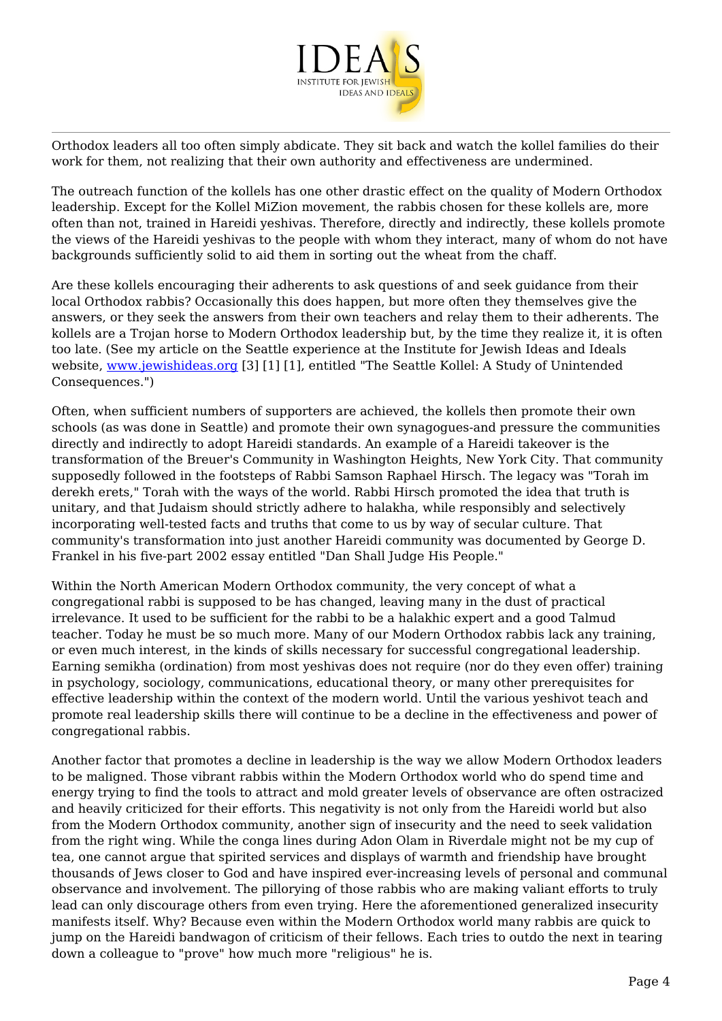

Orthodox leaders all too often simply abdicate. They sit back and watch the kollel families do their work for them, not realizing that their own authority and effectiveness are undermined.

The outreach function of the kollels has one other drastic effect on the quality of Modern Orthodox leadership. Except for the Kollel MiZion movement, the rabbis chosen for these kollels are, more often than not, trained in Hareidi yeshivas. Therefore, directly and indirectly, these kollels promote the views of the Hareidi yeshivas to the people with whom they interact, many of whom do not have backgrounds sufficiently solid to aid them in sorting out the wheat from the chaff.

Are these kollels encouraging their adherents to ask questions of and seek guidance from their local Orthodox rabbis? Occasionally this does happen, but more often they themselves give the answers, or they seek the answers from their own teachers and relay them to their adherents. The kollels are a Trojan horse to Modern Orthodox leadership but, by the time they realize it, it is often too late. (See my article on the Seattle experience at the Institute for Jewish Ideas and Ideals website, [www.jewishideas.org](http://www.jewishideas.org) [3] [1] [1], entitled "The Seattle Kollel: A Study of Unintended Consequences.")

Often, when sufficient numbers of supporters are achieved, the kollels then promote their own schools (as was done in Seattle) and promote their own synagogues-and pressure the communities directly and indirectly to adopt Hareidi standards. An example of a Hareidi takeover is the transformation of the Breuer's Community in Washington Heights, New York City. That community supposedly followed in the footsteps of Rabbi Samson Raphael Hirsch. The legacy was "Torah im derekh erets," Torah with the ways of the world. Rabbi Hirsch promoted the idea that truth is unitary, and that Judaism should strictly adhere to halakha, while responsibly and selectively incorporating well-tested facts and truths that come to us by way of secular culture. That community's transformation into just another Hareidi community was documented by George D. Frankel in his five-part 2002 essay entitled "Dan Shall Judge His People."

Within the North American Modern Orthodox community, the very concept of what a congregational rabbi is supposed to be has changed, leaving many in the dust of practical irrelevance. It used to be sufficient for the rabbi to be a halakhic expert and a good Talmud teacher. Today he must be so much more. Many of our Modern Orthodox rabbis lack any training, or even much interest, in the kinds of skills necessary for successful congregational leadership. Earning semikha (ordination) from most yeshivas does not require (nor do they even offer) training in psychology, sociology, communications, educational theory, or many other prerequisites for effective leadership within the context of the modern world. Until the various yeshivot teach and promote real leadership skills there will continue to be a decline in the effectiveness and power of congregational rabbis.

Another factor that promotes a decline in leadership is the way we allow Modern Orthodox leaders to be maligned. Those vibrant rabbis within the Modern Orthodox world who do spend time and energy trying to find the tools to attract and mold greater levels of observance are often ostracized and heavily criticized for their efforts. This negativity is not only from the Hareidi world but also from the Modern Orthodox community, another sign of insecurity and the need to seek validation from the right wing. While the conga lines during Adon Olam in Riverdale might not be my cup of tea, one cannot argue that spirited services and displays of warmth and friendship have brought thousands of Jews closer to God and have inspired ever-increasing levels of personal and communal observance and involvement. The pillorying of those rabbis who are making valiant efforts to truly lead can only discourage others from even trying. Here the aforementioned generalized insecurity manifests itself. Why? Because even within the Modern Orthodox world many rabbis are quick to jump on the Hareidi bandwagon of criticism of their fellows. Each tries to outdo the next in tearing down a colleague to "prove" how much more "religious" he is.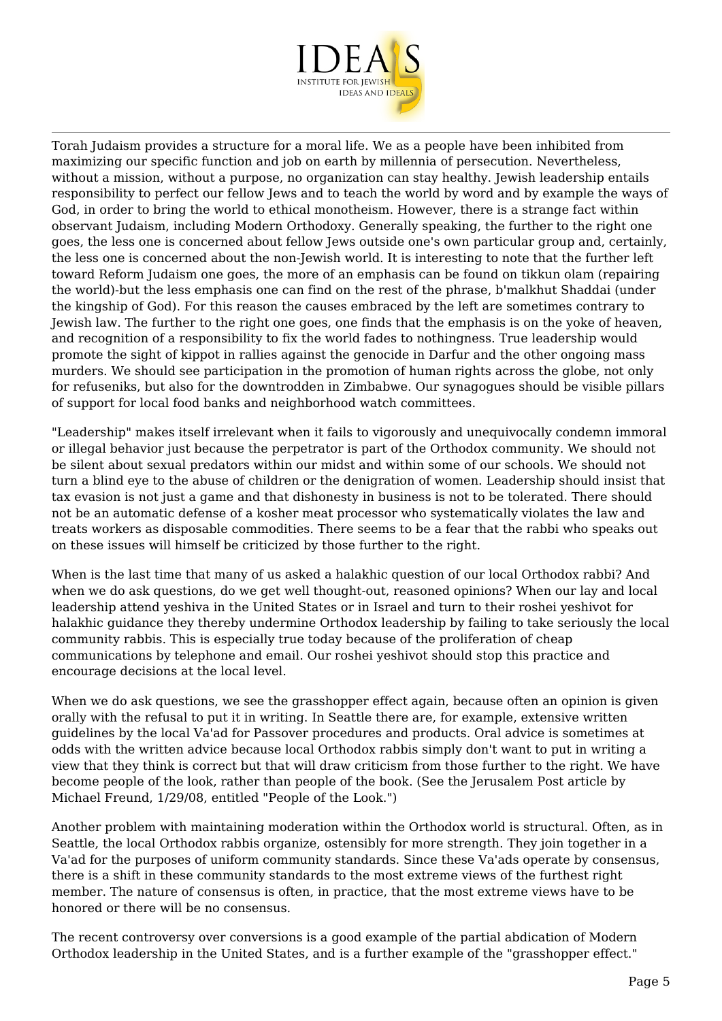

Torah Judaism provides a structure for a moral life. We as a people have been inhibited from maximizing our specific function and job on earth by millennia of persecution. Nevertheless, without a mission, without a purpose, no organization can stay healthy. Jewish leadership entails responsibility to perfect our fellow Jews and to teach the world by word and by example the ways of God, in order to bring the world to ethical monotheism. However, there is a strange fact within observant Judaism, including Modern Orthodoxy. Generally speaking, the further to the right one goes, the less one is concerned about fellow Jews outside one's own particular group and, certainly, the less one is concerned about the non-Jewish world. It is interesting to note that the further left toward Reform Judaism one goes, the more of an emphasis can be found on tikkun olam (repairing the world)-but the less emphasis one can find on the rest of the phrase, b'malkhut Shaddai (under the kingship of God). For this reason the causes embraced by the left are sometimes contrary to Jewish law. The further to the right one goes, one finds that the emphasis is on the yoke of heaven, and recognition of a responsibility to fix the world fades to nothingness. True leadership would promote the sight of kippot in rallies against the genocide in Darfur and the other ongoing mass murders. We should see participation in the promotion of human rights across the globe, not only for refuseniks, but also for the downtrodden in Zimbabwe. Our synagogues should be visible pillars of support for local food banks and neighborhood watch committees.

"Leadership" makes itself irrelevant when it fails to vigorously and unequivocally condemn immoral or illegal behavior just because the perpetrator is part of the Orthodox community. We should not be silent about sexual predators within our midst and within some of our schools. We should not turn a blind eye to the abuse of children or the denigration of women. Leadership should insist that tax evasion is not just a game and that dishonesty in business is not to be tolerated. There should not be an automatic defense of a kosher meat processor who systematically violates the law and treats workers as disposable commodities. There seems to be a fear that the rabbi who speaks out on these issues will himself be criticized by those further to the right.

When is the last time that many of us asked a halakhic question of our local Orthodox rabbi? And when we do ask questions, do we get well thought-out, reasoned opinions? When our lay and local leadership attend yeshiva in the United States or in Israel and turn to their roshei yeshivot for halakhic guidance they thereby undermine Orthodox leadership by failing to take seriously the local community rabbis. This is especially true today because of the proliferation of cheap communications by telephone and email. Our roshei yeshivot should stop this practice and encourage decisions at the local level.

When we do ask questions, we see the grasshopper effect again, because often an opinion is given orally with the refusal to put it in writing. In Seattle there are, for example, extensive written guidelines by the local Va'ad for Passover procedures and products. Oral advice is sometimes at odds with the written advice because local Orthodox rabbis simply don't want to put in writing a view that they think is correct but that will draw criticism from those further to the right. We have become people of the look, rather than people of the book. (See the Jerusalem Post article by Michael Freund, 1/29/08, entitled "People of the Look.")

Another problem with maintaining moderation within the Orthodox world is structural. Often, as in Seattle, the local Orthodox rabbis organize, ostensibly for more strength. They join together in a Va'ad for the purposes of uniform community standards. Since these Va'ads operate by consensus, there is a shift in these community standards to the most extreme views of the furthest right member. The nature of consensus is often, in practice, that the most extreme views have to be honored or there will be no consensus.

The recent controversy over conversions is a good example of the partial abdication of Modern Orthodox leadership in the United States, and is a further example of the "grasshopper effect."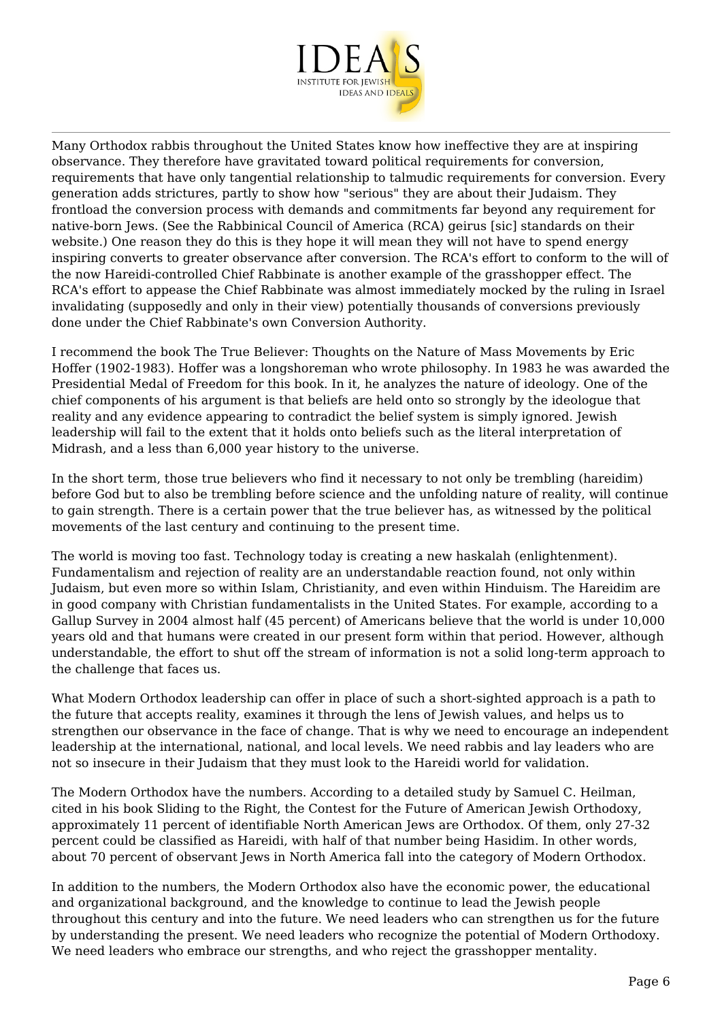

Many Orthodox rabbis throughout the United States know how ineffective they are at inspiring observance. They therefore have gravitated toward political requirements for conversion, requirements that have only tangential relationship to talmudic requirements for conversion. Every generation adds strictures, partly to show how "serious" they are about their Judaism. They frontload the conversion process with demands and commitments far beyond any requirement for native-born Jews. (See the Rabbinical Council of America (RCA) geirus [sic] standards on their website.) One reason they do this is they hope it will mean they will not have to spend energy inspiring converts to greater observance after conversion. The RCA's effort to conform to the will of the now Hareidi-controlled Chief Rabbinate is another example of the grasshopper effect. The RCA's effort to appease the Chief Rabbinate was almost immediately mocked by the ruling in Israel invalidating (supposedly and only in their view) potentially thousands of conversions previously done under the Chief Rabbinate's own Conversion Authority.

I recommend the book The True Believer: Thoughts on the Nature of Mass Movements by Eric Hoffer (1902-1983). Hoffer was a longshoreman who wrote philosophy. In 1983 he was awarded the Presidential Medal of Freedom for this book. In it, he analyzes the nature of ideology. One of the chief components of his argument is that beliefs are held onto so strongly by the ideologue that reality and any evidence appearing to contradict the belief system is simply ignored. Jewish leadership will fail to the extent that it holds onto beliefs such as the literal interpretation of Midrash, and a less than 6,000 year history to the universe.

In the short term, those true believers who find it necessary to not only be trembling (hareidim) before God but to also be trembling before science and the unfolding nature of reality, will continue to gain strength. There is a certain power that the true believer has, as witnessed by the political movements of the last century and continuing to the present time.

The world is moving too fast. Technology today is creating a new haskalah (enlightenment). Fundamentalism and rejection of reality are an understandable reaction found, not only within Judaism, but even more so within Islam, Christianity, and even within Hinduism. The Hareidim are in good company with Christian fundamentalists in the United States. For example, according to a Gallup Survey in 2004 almost half (45 percent) of Americans believe that the world is under 10,000 years old and that humans were created in our present form within that period. However, although understandable, the effort to shut off the stream of information is not a solid long-term approach to the challenge that faces us.

What Modern Orthodox leadership can offer in place of such a short-sighted approach is a path to the future that accepts reality, examines it through the lens of Jewish values, and helps us to strengthen our observance in the face of change. That is why we need to encourage an independent leadership at the international, national, and local levels. We need rabbis and lay leaders who are not so insecure in their Judaism that they must look to the Hareidi world for validation.

The Modern Orthodox have the numbers. According to a detailed study by Samuel C. Heilman, cited in his book Sliding to the Right, the Contest for the Future of American Jewish Orthodoxy, approximately 11 percent of identifiable North American Jews are Orthodox. Of them, only 27-32 percent could be classified as Hareidi, with half of that number being Hasidim. In other words, about 70 percent of observant Jews in North America fall into the category of Modern Orthodox.

In addition to the numbers, the Modern Orthodox also have the economic power, the educational and organizational background, and the knowledge to continue to lead the Jewish people throughout this century and into the future. We need leaders who can strengthen us for the future by understanding the present. We need leaders who recognize the potential of Modern Orthodoxy. We need leaders who embrace our strengths, and who reject the grasshopper mentality.